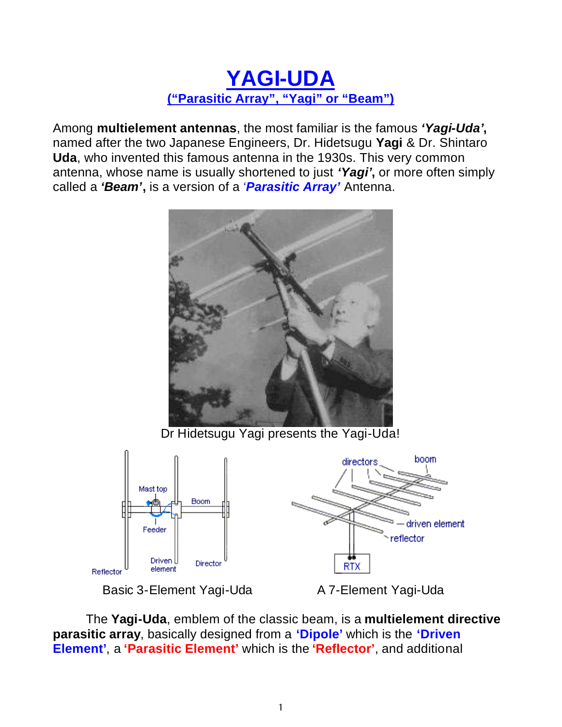## **YAGI-UDA ("Parasitic Array", "Yagi" or "Beam")**

Among **multielement antennas**, the most familiar is the famous *'Yagi-Uda'***,** named after the two Japanese Engineers, Dr. Hidetsugu **Yagi** & Dr. Shintaro **Uda**, who invented this famous antenna in the 1930s. This very common antenna, whose name is usually shortened to just *'Yagi'***,** or more often simply called a *'Beam'***,** is a version of a *'Parasitic Array'* Antenna.



Dr Hidetsugu Yagi presents the Yagi-Uda!





The **Yagi-Uda**, emblem of the classic beam, is a **multielement directive parasitic array**, basically designed from a **'Dipole'** which is the **'Driven Element'**, a **'Parasitic Element'** which is the **'Reflector'**, and additional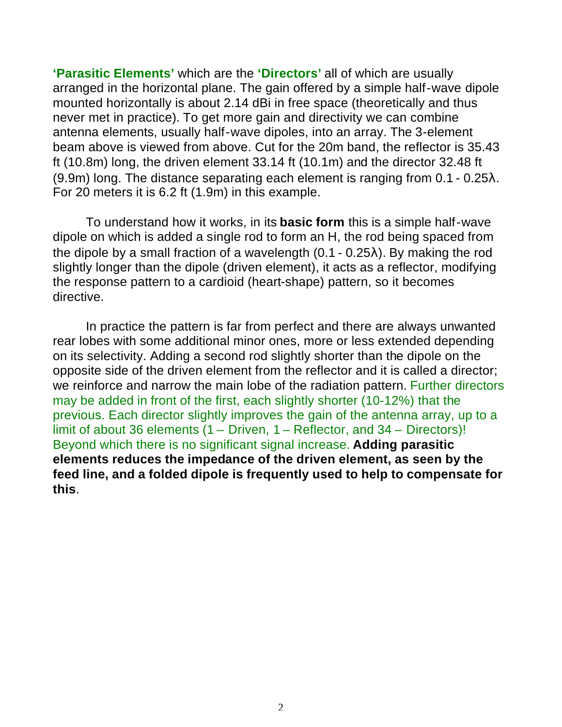**'Parasitic Elements'** which are the **'Directors'** all of which are usually arranged in the horizontal plane. The gain offered by a simple half-wave dipole mounted horizontally is about 2.14 dBi in free space (theoretically and thus never met in practice). To get more gain and directivity we can combine antenna elements, usually half-wave dipoles, into an array. The 3-element beam above is viewed from above. Cut for the 20m band, the reflector is 35.43 ft (10.8m) long, the driven element 33.14 ft (10.1m) and the director 32.48 ft (9.9m) long. The distance separating each element is ranging from 0.1 - 0.25λ. For 20 meters it is 6.2 ft (1.9m) in this example.

To understand how it works, in its **basic form** this is a simple half-wave dipole on which is added a single rod to form an H, the rod being spaced from the dipole by a small fraction of a wavelength (0.1 - 0.25λ). By making the rod slightly longer than the dipole (driven element), it acts as a reflector, modifying the response pattern to a cardioid (heart-shape) pattern, so it becomes directive.

In practice the pattern is far from perfect and there are always unwanted rear lobes with some additional minor ones, more or less extended depending on its selectivity. Adding a second rod slightly shorter than the dipole on the opposite side of the driven element from the reflector and it is called a director; we reinforce and narrow the main lobe of the radiation pattern. Further directors may be added in front of the first, each slightly shorter (10-12%) that the previous. Each director slightly improves the gain of the antenna array, up to a limit of about 36 elements (1 – Driven, 1 – Reflector, and 34 – Directors)! Beyond which there is no significant signal increase. **Adding parasitic elements reduces the impedance of the driven element, as seen by the feed line, and a folded dipole is frequently used to help to compensate for this**.